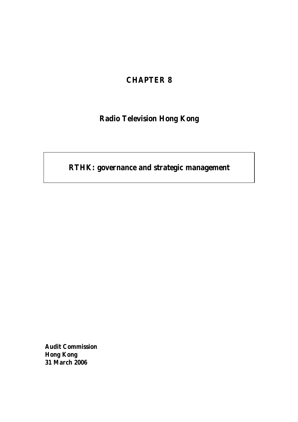## **CHAPTER 8**

# **Radio Television Hong Kong**

# **RTHK: governance and strategic management**

**Audit Commission Hong Kong 31 March 2006**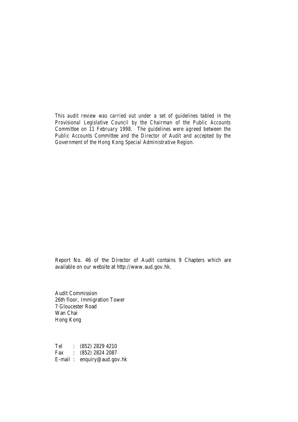*This audit review was carried out under a set of guidelines tabled in the Provisional Legislative Council by the Chairman of the Public Accounts Committee on 11 February 1998. The guidelines were agreed between the Public Accounts Committee and the Director of Audit and accepted by the Government of the Hong Kong Special Administrative Region.*

Report No. 46 of the Director of Audit contains 9 Chapters which are available on our website a[t http://www.aud.gov.hk.](http://www.aud.gov.hk)

Audit Commission 26th floor, Immigration Tower 7 Gloucester Road Wan Chai Hong Kong

Tel : (852) 2829 4210 Fax : (852) 2824 2087 E-mail : enquiry@aud.gov.hk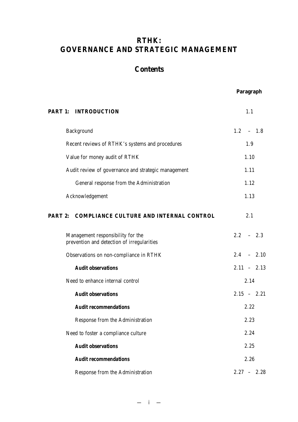## **RTHK: GOVERNANCE AND STRATEGIC MANAGEMENT**

## **Contents**

## **Paragraph**

| <b>PART 1: INTRODUCTION</b>                                                     | 1.1           |
|---------------------------------------------------------------------------------|---------------|
| Background                                                                      | $1.2 - 1.8$   |
| Recent reviews of RTHK's systems and procedures                                 | 1.9           |
| Value for money audit of RTHK                                                   | 1.10          |
| Audit review of governance and strategic management                             | 1.11          |
| General response from the Administration                                        | 1.12          |
| Acknowledgement                                                                 | 1.13          |
| PART 2: COMPLIANCE CULTURE AND INTERNAL CONTROL                                 | 2.1           |
| Management responsibility for the<br>prevention and detection of irregularities | $2.2 - 2.3$   |
| Observations on non-compliance in RTHK                                          | $2.4 - 2.10$  |
| <b>Audit observations</b>                                                       | $2.11 - 2.13$ |
| Need to enhance internal control                                                | 2.14          |
| <b>Audit observations</b>                                                       | $2.15 - 2.21$ |
| <b>Audit recommendations</b>                                                    | 2.22          |
| Response from the Administration                                                | 2.23          |
| Need to foster a compliance culture                                             | 2.24          |
| <b>Audit observations</b>                                                       | 2.25          |
| <b>Audit recommendations</b>                                                    | 2.26          |
| Response from the Administration                                                | $2.27 - 2.28$ |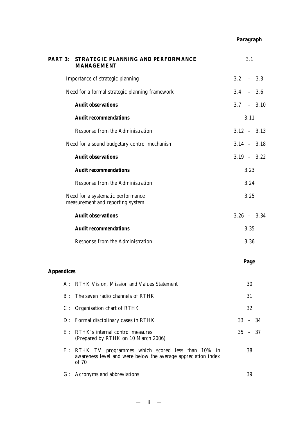## **Paragraph**

| <b>PART 3:</b>    | STRATEGIC PLANNING AND PERFORMANCE<br><b>MANAGEMENT</b>                                                                       | 3.1           |
|-------------------|-------------------------------------------------------------------------------------------------------------------------------|---------------|
|                   | Importance of strategic planning                                                                                              | $3.2 - 3.3$   |
|                   | Need for a formal strategic planning framework                                                                                | $3.4 - 3.6$   |
|                   | <b>Audit observations</b>                                                                                                     | $3.7 - 3.10$  |
|                   | <b>Audit recommendations</b>                                                                                                  | 3.11          |
|                   | Response from the Administration                                                                                              | $3.12 - 3.13$ |
|                   | Need for a sound budgetary control mechanism                                                                                  | $3.14 - 3.18$ |
|                   | <b>Audit observations</b>                                                                                                     | $3.19 - 3.22$ |
|                   | <b>Audit recommendations</b>                                                                                                  | 3.23          |
|                   | Response from the Administration                                                                                              | 3.24          |
|                   | Need for a systematic performance<br>measurement and reporting system                                                         | 3.25          |
|                   | <b>Audit observations</b>                                                                                                     | $3.26 - 3.34$ |
|                   | <b>Audit recommendations</b>                                                                                                  | 3.35          |
|                   | Response from the Administration                                                                                              | 3.36          |
|                   |                                                                                                                               | Page          |
| <b>Appendices</b> |                                                                                                                               |               |
|                   | A: RTHK Vision, Mission and Values Statement                                                                                  | 30            |
| $B$ :             | The seven radio channels of RTHK                                                                                              | 31            |
|                   | C : Organisation chart of RTHK                                                                                                | 32            |
|                   | D : Formal disciplinary cases in RTHK                                                                                         | $33 - 34$     |
|                   | E : RTHK's internal control measures<br>(Prepared by RTHK on 10 March 2006)                                                   | $35 - 37$     |
|                   | F: RTHK TV programmes which scored less than 10% in<br>awareness level and were below the average appreciation index<br>of 70 | 38            |
|                   | G : Acronyms and abbreviations                                                                                                | 39            |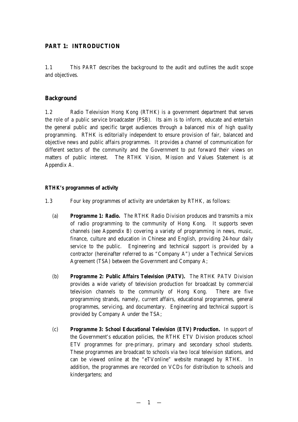## **PART 1: INTRODUCTION**

1.1 This PART describes the background to the audit and outlines the audit scope and objectives.

## **Background**

1.2 Radio Television Hong Kong (RTHK) is a government department that serves the role of a public service broadcaster (PSB). Its aim is to inform, educate and entertain the general public and specific target audiences through a balanced mix of high quality programming. RTHK is editorially independent to ensure provision of fair, balanced and objective news and public affairs programmes. It provides a channel of communication for different sectors of the community and the Government to put forward their views on matters of public interest. The RTHK Vision, Mission and Values Statement is at Appendix A.

## *RTHK's programmes of activity*

- 1.3 Four key programmes of activity are undertaken by RTHK, as follows:
	- (a) *Programme 1: Radio.* The RTHK Radio Division produces and transmits a mix of radio programming to the community of Hong Kong. It supports seven channels (see Appendix B) covering a variety of programming in news, music, finance, culture and education in Chinese and English, providing 24-hour daily service to the public. Engineering and technical support is provided by a contractor (hereinafter referred to as "Company A") under a Technical Services Agreement (TSA) between the Government and Company A;
	- (b) *Programme 2: Public Affairs Television (PATV).* The RTHK PATV Division provides a wide variety of television production for broadcast by commercial television channels to the community of Hong Kong. There are five programming strands, namely, current affairs, educational programmes, general programmes, servicing, and documentary. Engineering and technical support is provided by Company A under the TSA;
	- (c) *Programme 3: School Educational Television (ETV) Production.* In support of the Government's education policies, the RTHK ETV Division produces school ETV programmes for pre-primary, primary and secondary school students. These programmes are broadcast to schools via two local television stations, and can be viewed online at the "eTVonline" website managed by RTHK. In addition, the programmes are recorded on VCDs for distribution to schools and kindergartens; and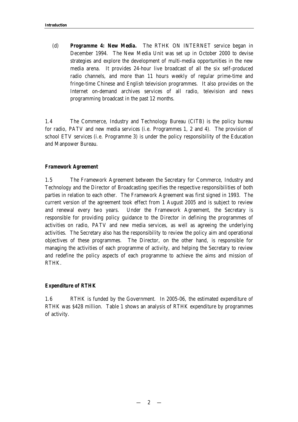(d) *Programme 4: New Media.* The RTHK ON INTERNET service began in December 1994. The New Media Unit was set up in October 2000 to devise strategies and explore the development of multi-media opportunities in the new media arena. It provides 24-hour live broadcast of all the six self-produced radio channels, and more than 11 hours weekly of regular prime-time and fringe-time Chinese and English television programmes. It also provides on the Internet on-demand archives services of all radio, television and news programming broadcast in the past 12 months.

1.4 The Commerce, Industry and Technology Bureau (CITB) is the policy bureau for radio, PATV and new media services (i.e. Programmes 1, 2 and 4). The provision of school ETV services (i.e. Programme 3) is under the policy responsibility of the Education and Manpower Bureau.

## *Framework Agreement*

1.5 The Framework Agreement between the Secretary for Commerce, Industry and Technology and the Director of Broadcasting specifies the respective responsibilities of both parties in relation to each other. The Framework Agreement was first signed in 1993. The current version of the agreement took effect from 1 August 2005 and is subject to review and renewal every two years. Under the Framework Agreement, the Secretary is responsible for providing policy guidance to the Director in defining the programmes of activities on radio, PATV and new media services, as well as agreeing the underlying activities. The Secretary also has the responsibility to review the policy aim and operational objectives of these programmes. The Director, on the other hand, is responsible for managing the activities of each programme of activity, and helping the Secretary to review and redefine the policy aspects of each programme to achieve the aims and mission of RTHK.

#### *Expenditure of RTHK*

1.6 RTHK is funded by the Government. In 2005-06, the estimated expenditure of RTHK was \$428 million. Table 1 shows an analysis of RTHK expenditure by programmes of activity.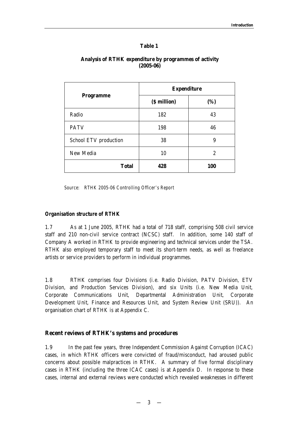## **Table 1**

|                       | <b>Expenditure</b> |                |  |
|-----------------------|--------------------|----------------|--|
| <b>Programme</b>      | (\$ million)       | (%)            |  |
| Radio                 | 182                | 43             |  |
| <b>PATV</b>           | 198                | 46             |  |
| School ETV production | 38                 | 9              |  |
| New Media             | 10                 | $\overline{c}$ |  |
| <b>Total</b>          | 428                | 100            |  |

## **Analysis of RTHK expenditure by programmes of activity (2005-06)**

*Source: RTHK 2005-06 Controlling Officer's Report*

## *Organisation structure of RTHK*

1.7 As at 1 June 2005, RTHK had a total of 718 staff, comprising 508 civil service staff and 210 non-civil service contract (NCSC) staff. In addition, some 140 staff of Company A worked in RTHK to provide engineering and technical services under the TSA. RTHK also employed temporary staff to meet its short-term needs, as well as freelance artists or service providers to perform in individual programmes.

1.8 RTHK comprises four Divisions (i.e. Radio Division, PATV Division, ETV Division, and Production Services Division), and six Units (i.e. New Media Unit, Corporate Communications Unit, Departmental Administration Unit, Corporate Development Unit, Finance and Resources Unit, and System Review Unit (SRU)). An organisation chart of RTHK is at Appendix C.

## **Recent reviews of RTHK's systems and procedures**

1.9 In the past few years, three Independent Commission Against Corruption (ICAC) cases, in which RTHK officers were convicted of fraud/misconduct, had aroused public concerns about possible malpractices in RTHK. A summary of five formal disciplinary cases in RTHK (including the three ICAC cases) is at Appendix D. In response to these cases, internal and external reviews were conducted which revealed weaknesses in different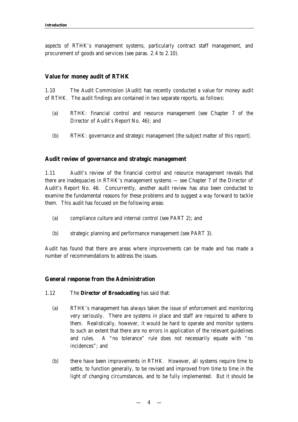aspects of RTHK's management systems, particularly contract staff management, and procurement of goods and services (see paras. 2.4 to 2.10).

#### **Value for money audit of RTHK**

1.10 The Audit Commission (Audit) has recently conducted a value for money audit of RTHK. The audit findings are contained in two separate reports, as follows:

- (a) RTHK: financial control and resource management (see Chapter 7 of the Director of Audit's Report No. 46); and
- (b) RTHK: governance and strategic management (the subject matter of this report).

#### **Audit review of governance and strategic management**

1.11 Audit's review of the financial control and resource management reveals that there are inadequacies in RTHK's management systems — see Chapter 7 of the Director of Audit's Report No. 46. Concurrently, another audit review has also been conducted to examine the fundamental reasons for these problems and to suggest a way forward to tackle them. This audit has focused on the following areas:

- (a) compliance culture and internal control (see PART 2); and
- (b) strategic planning and performance management (see PART 3).

Audit has found that there are areas where improvements can be made and has made a number of recommendations to address the issues.

#### **General response from the Administration**

- 1.12 The **Director of Broadcasting** has said that:
	- (a) RTHK's management has always taken the issue of enforcement and monitoring very seriously. There are systems in place and staff are required to adhere to them. Realistically, however, it would be hard to operate and monitor systems to such an extent that there are no errors in application of the relevant guidelines and rules. A "no tolerance" rule does not necessarily equate with "no incidences"; and
	- (b) there have been improvements in RTHK. However, all systems require time to settle, to function generally, to be revised and improved from time to time in the light of changing circumstances, and to be fully implemented. But it should be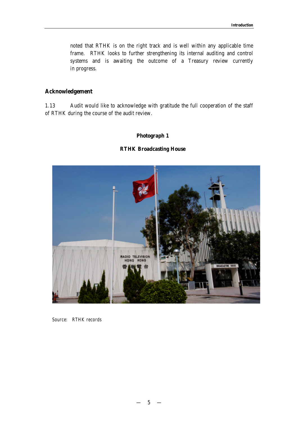noted that RTHK is on the right track and is well within any applicable time frame. RTHK looks to further strengthening its internal auditing and control systems and is awaiting the outcome of a Treasury review currently in progress.

## **Acknowledgement**

1.13 Audit would like to acknowledge with gratitude the full cooperation of the staff of RTHK during the course of the audit review.

## **Photograph 1**

#### **RTHK Broadcasting House**



*Source: RTHK records*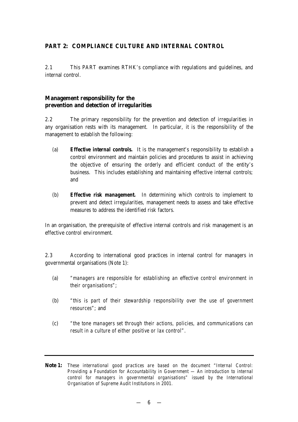## **PART 2: COMPLIANCE CULTURE AND INTERNAL CONTROL**

2.1 This PART examines RTHK's compliance with regulations and guidelines, and internal control.

## **Management responsibility for the prevention and detection of irregularities**

2.2 The primary responsibility for the prevention and detection of irregularities in any organisation rests with its management. In particular, it is the responsibility of the management to establish the following:

- (a) *Effective internal controls.* It is the management's responsibility to establish a control environment and maintain policies and procedures to assist in achieving the objective of ensuring the orderly and efficient conduct of the entity's business. This includes establishing and maintaining effective internal controls; and
- (b) *Effective risk management.* In determining which controls to implement to prevent and detect irregularities, management needs to assess and take effective measures to address the identified risk factors.

In an organisation, the prerequisite of effective internal controls and risk management is an effective control environment.

2.3 According to international good practices in internal control for managers in governmental organisations (Note 1):

- (a) *"managers are responsible for establishing an effective control environment in their organisations"*;
- (b) *"this is part of their stewardship responsibility over the use of government resources"*; and
- (c) *"the tone managers set through their actions, policies, and communications can result in a culture of either positive or lax control"*.

**Note 1:** *These international good practices are based on the document "Internal Control: Providing a Foundation for Accountability in Government — An introduction to internal control for managers in governmental organisations" issued by the International Organisation of Supreme Audit Institutions in 2001.*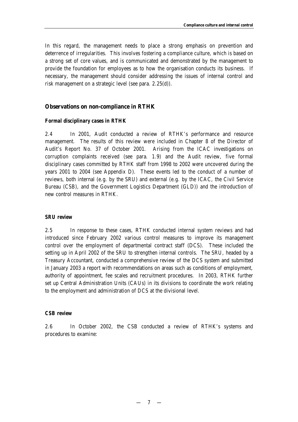In this regard, the management needs to place a strong emphasis on prevention and deterrence of irregularities. This involves fostering a compliance culture, which is based on a strong set of core values, and is communicated and demonstrated by the management to provide the foundation for employees as to how the organisation conducts its business. If necessary, the management should consider addressing the issues of internal control and risk management on a strategic level (see para. 2.25(d)).

## **Observations on non-compliance in RTHK**

#### *Formal disciplinary cases in RTHK*

2.4 In 2001, Audit conducted a review of RTHK's performance and resource management. The results of this review were included in Chapter 8 of the Director of Audit's Report No. 37 of October 2001. Arising from the ICAC investigations on corruption complaints received (see para. 1.9) and the Audit review, five formal disciplinary cases committed by RTHK staff from 1998 to 2002 were uncovered during the years 2001 to 2004 (see Appendix D). These events led to the conduct of a number of reviews, both internal (e.g. by the SRU) and external (e.g. by the ICAC, the Civil Service Bureau (CSB), and the Government Logistics Department (GLD)) and the introduction of new control measures in RTHK.

## *SRU review*

2.5 In response to these cases, RTHK conducted internal system reviews and had introduced since February 2002 various control measures to improve its management control over the employment of departmental contract staff (DCS). These included the setting up in April 2002 of the SRU to strengthen internal controls. The SRU, headed by a Treasury Accountant, conducted a comprehensive review of the DCS system and submitted in January 2003 a report with recommendations on areas such as conditions of employment, authority of appointment, fee scales and recruitment procedures. In 2003, RTHK further set up Central Administration Units (CAUs) in its divisions to coordinate the work relating to the employment and administration of DCS at the divisional level.

#### *CSB review*

2.6 In October 2002, the CSB conducted a review of RTHK's systems and procedures to examine: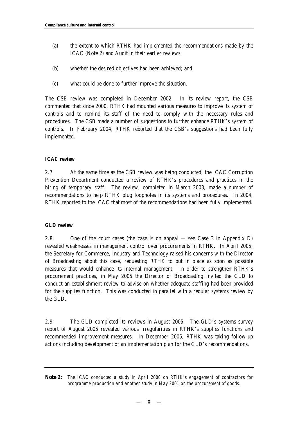- (a) the extent to which RTHK had implemented the recommendations made by the ICAC (Note 2) and Audit in their earlier reviews;
- (b) whether the desired objectives had been achieved; and
- (c) what could be done to further improve the situation.

The CSB review was completed in December 2002. In its review report, the CSB commented that since 2000, RTHK had mounted various measures to improve its system of controls and to remind its staff of the need to comply with the necessary rules and procedures. The CSB made a number of suggestions to further enhance RTHK's system of controls. In February 2004, RTHK reported that the CSB's suggestions had been fully implemented.

## *ICAC review*

2.7 At the same time as the CSB review was being conducted, the ICAC Corruption Prevention Department conducted a review of RTHK's procedures and practices in the hiring of temporary staff. The review, completed in March 2003, made a number of recommendations to help RTHK plug loopholes in its systems and procedures. In 2004, RTHK reported to the ICAC that most of the recommendations had been fully implemented.

#### *GLD review*

2.8 One of the court cases (the case is on appeal — see Case 3 in Appendix D) revealed weaknesses in management control over procurements in RTHK. In April 2005, the Secretary for Commerce, Industry and Technology raised his concerns with the Director of Broadcasting about this case, requesting RTHK to put in place as soon as possible measures that would enhance its internal management. In order to strengthen RTHK's procurement practices, in May 2005 the Director of Broadcasting invited the GLD to conduct an establishment review to advise on whether adequate staffing had been provided for the supplies function. This was conducted in parallel with a regular systems review by the GLD.

2.9 The GLD completed its reviews in August 2005. The GLD's systems survey report of August 2005 revealed various irregularities in RTHK's supplies functions and recommended improvement measures. In December 2005, RTHK was taking follow-up actions including development of an implementation plan for the GLD's recommendations.

**Note 2:** *The ICAC conducted a study in April 2000 on RTHK's engagement of contractors for programme production and another study in May 2001 on the procurement of goods.*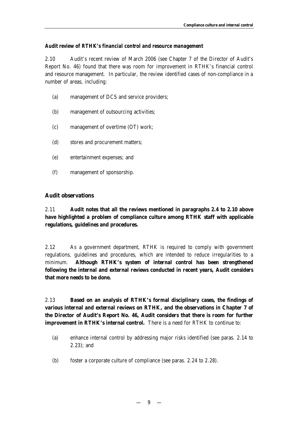## *Audit review of RTHK's financial control and resource management*

2.10 Audit's recent review of March 2006 (see Chapter 7 of the Director of Audit's Report No. 46) found that there was room for improvement in RTHK's financial control and resource management. In particular, the review identified cases of non-compliance in a number of areas, including:

- (a) management of DCS and service providers;
- (b) management of outsourcing activities;
- (c) management of overtime (OT) work;
- (d) stores and procurement matters;
- (e) entertainment expenses; and
- (f) management of sponsorship.

## **Audit observations**

2.11 **Audit notes that all the reviews mentioned in paragraphs 2.4 to 2.10 above have highlighted a problem of compliance culture among RTHK staff with applicable regulations, guidelines and procedures.** 

2.12 As a government department, RTHK is required to comply with government regulations, guidelines and procedures, which are intended to reduce irregularities to a minimum. **Although RTHK's system of internal control has been strengthened following the internal and external reviews conducted in recent years, Audit considers that more needs to be done.**

2.13 **Based on an analysis of RTHK's formal disciplinary cases, the findings of various internal and external reviews on RTHK, and the observations in Chapter 7 of the Director of Audit's Report No. 46, Audit considers that there is room for further improvement in RTHK's internal control.** There is a need for RTHK to continue to:

- (a) enhance internal control by addressing major risks identified (see paras. 2.14 to 2.23); and
- (b) foster a corporate culture of compliance (see paras. 2.24 to 2.28).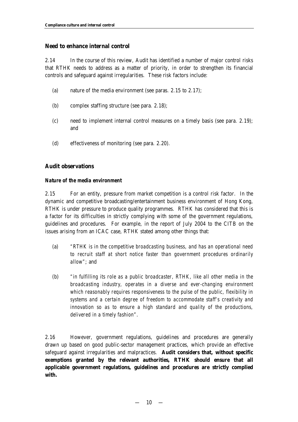## **Need to enhance internal control**

2.14 In the course of this review, Audit has identified a number of major control risks that RTHK needs to address as a matter of priority, in order to strengthen its financial controls and safeguard against irregularities. These risk factors include:

- (a) nature of the media environment (see paras. 2.15 to 2.17);
- (b) complex staffing structure (see para. 2.18);
- (c) need to implement internal control measures on a timely basis (see para. 2.19); and
- (d) effectiveness of monitoring (see para. 2.20).

## **Audit observations**

## *Nature of the media environment*

2.15 For an entity, pressure from market competition is a control risk factor. In the dynamic and competitive broadcasting/entertainment business environment of Hong Kong, RTHK is under pressure to produce quality programmes. RTHK has considered that this is a factor for its difficulties in strictly complying with some of the government regulations, guidelines and procedures. For example, in the report of July 2004 to the CITB on the issues arising from an ICAC case, RTHK stated among other things that:

- (a) *"RTHK is in the competitive broadcasting business, and has an operational need to recruit staff at short notice faster than government procedures ordinarily allow"*; and
- (b) *"in fulfilling its role as a public broadcaster, RTHK, like all other media in the broadcasting industry, operates in a diverse and ever-changing environment which reasonably requires responsiveness to the pulse of the public, flexibility in systems and a certain degree of freedom to accommodate staff's creativity and innovation so as to ensure a high standard and quality of the productions, delivered in a timely fashion"*.

2.16 However, government regulations, guidelines and procedures are generally drawn up based on good public-sector management practices, which provide an effective safeguard against irregularities and malpractices. **Audit considers that, without specific exemptions granted by the relevant authorities, RTHK should ensure that all applicable government regulations, guidelines and procedures are strictly complied with.**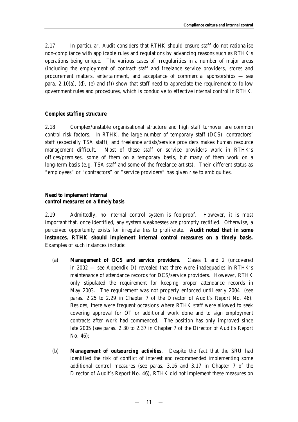2.17 In particular, Audit considers that RTHK should ensure staff do not rationalise non-compliance with applicable rules and regulations by advancing reasons such as RTHK's operations being unique. The various cases of irregularities in a number of major areas (including the employment of contract staff and freelance service providers, stores and procurement matters, entertainment, and acceptance of commercial sponsorships — see para.  $2.10(a)$ , (d), (e) and (f)) show that staff need to appreciate the requirement to follow government rules and procedures, which is conducive to effective internal control in RTHK.

## *Complex staffing structure*

2.18 Complex/unstable organisational structure and high staff turnover are common control risk factors. In RTHK, the large number of temporary staff (DCS), contractors' staff (especially TSA staff), and freelance artists/service providers makes human resource management difficult. Most of these staff or service providers work in RTHK's offices/premises, some of them on a temporary basis, but many of them work on a long-term basis (e.g. TSA staff and some of the freelance artists). Their different status as "employees" or "contractors" or "service providers" has given rise to ambiguities.

## *Need to implement internal control measures on a timely basis*

2.19 Admittedly, no internal control system is foolproof. However, it is most important that, once identified, any system weaknesses are promptly rectified. Otherwise, a perceived opportunity exists for irregularities to proliferate. **Audit noted that in some instances, RTHK should implement internal control measures on a timely basis.** Examples of such instances include:

- (a) *Management of DCS and service providers.* Cases 1 and 2 (uncovered in 2002 — see Appendix D) revealed that there were inadequacies in RTHK's maintenance of attendance records for DCS/service providers. However, RTHK only stipulated the requirement for keeping proper attendance records in May 2003. The requirement was not properly enforced until early 2004 (see paras. 2.25 to 2.29 in Chapter 7 of the Director of Audit's Report No. 46). Besides, there were frequent occasions where RTHK staff were allowed to seek covering approval for OT or additional work done and to sign employment contracts after work had commenced. The position has only improved since late 2005 (see paras. 2.30 to 2.37 in Chapter 7 of the Director of Audit's Report No. 46);
- (b) *Management of outsourcing activities.* Despite the fact that the SRU had identified the risk of conflict of interest and recommended implementing some additional control measures (see paras. 3.16 and 3.17 in Chapter 7 of the Director of Audit's Report No. 46), RTHK did not implement these measures on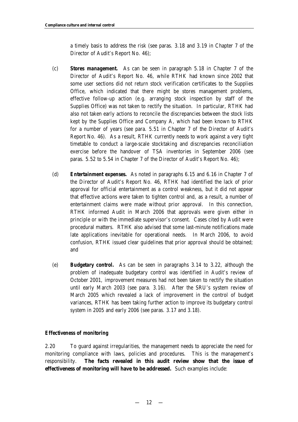a timely basis to address the risk (see paras. 3.18 and 3.19 in Chapter 7 of the Director of Audit's Report No. 46);

- (c) *Stores management.* As can be seen in paragraph 5.18 in Chapter 7 of the Director of Audit's Report No. 46, while RTHK had known since 2002 that some user sections did not return stock verification certificates to the Supplies Office, which indicated that there might be stores management problems, effective follow-up action (e.g. arranging stock inspection by staff of the Supplies Office) was not taken to rectify the situation. In particular, RTHK had also not taken early actions to reconcile the discrepancies between the stock lists kept by the Supplies Office and Company A, which had been known to RTHK for a number of years (see para. 5.51 in Chapter 7 of the Director of Audit's Report No. 46). As a result, RTHK currently needs to work against a very tight timetable to conduct a large-scale stocktaking and discrepancies reconciliation exercise before the handover of TSA inventories in September 2006 (see paras. 5.52 to 5.54 in Chapter 7 of the Director of Audit's Report No. 46);
- (d) *Entertainment expenses.* As noted in paragraphs 6.15 and 6.16 in Chapter 7 of the Director of Audit's Report No. 46, RTHK had identified the lack of prior approval for official entertainment as a control weakness, but it did not appear that effective actions were taken to tighten control and, as a result, a number of entertainment claims were made without prior approval. In this connection, RTHK informed Audit in March 2006 that approvals were given either in principle or with the immediate supervisor's consent. Cases cited by Audit were procedural matters. RTHK also advised that some last-minute notifications made late applications inevitable for operational needs. In March 2006, to avoid confusion, RTHK issued clear guidelines that prior approval should be obtained; and
- (e) *Budgetary control.* As can be seen in paragraphs 3.14 to 3.22, although the problem of inadequate budgetary control was identified in Audit's review of October 2001, improvement measures had not been taken to rectify the situation until early March 2003 (see para. 3.16). After the SRU's system review of March 2005 which revealed a lack of improvement in the control of budget variances, RTHK has been taking further action to improve its budgetary control system in 2005 and early 2006 (see paras. 3.17 and 3.18).

## *Effectiveness of monitoring*

2.20 To guard against irregularities, the management needs to appreciate the need for monitoring compliance with laws, policies and procedures. This is the management's responsibility. **The facts revealed in this audit review show that the issue of effectiveness of monitoring will have to be addressed.** Such examples include: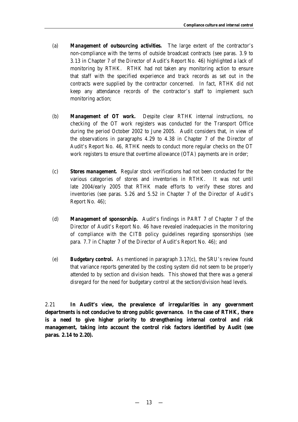- (a) *Management of outsourcing activities.* The large extent of the contractor's non-compliance with the terms of outside broadcast contracts (see paras. 3.9 to 3.13 in Chapter 7 of the Director of Audit's Report No. 46) highlighted a lack of monitoring by RTHK. RTHK had not taken any monitoring action to ensure that staff with the specified experience and track records as set out in the contracts were supplied by the contractor concerned. In fact, RTHK did not keep any attendance records of the contractor's staff to implement such monitoring action;
- (b) *Management of OT work.* Despite clear RTHK internal instructions, no checking of the OT work registers was conducted for the Transport Office during the period October 2002 to June 2005. Audit considers that, in view of the observations in paragraphs 4.29 to 4.38 in Chapter 7 of the Director of Audit's Report No. 46, RTHK needs to conduct more regular checks on the OT work registers to ensure that overtime allowance (OTA) payments are in order;
- (c) *Stores management.* Regular stock verifications had not been conducted for the various categories of stores and inventories in RTHK. It was not until late 2004/early 2005 that RTHK made efforts to verify these stores and inventories (see paras. 5.26 and 5.52 in Chapter 7 of the Director of Audit's Report No. 46);
- (d) *Management of sponsorship.* Audit's findings in PART 7 of Chapter 7 of the Director of Audit's Report No. 46 have revealed inadequacies in the monitoring of compliance with the CITB policy guidelines regarding sponsorships (see para. 7.7 in Chapter 7 of the Director of Audit's Report No. 46); and
- (e) *Budgetary control.* As mentioned in paragraph 3.17(c), the SRU's review found that variance reports generated by the costing system did not seem to be properly attended to by section and division heads. This showed that there was a general disregard for the need for budgetary control at the section/division head levels.

2.21 **In Audit's view, the prevalence of irregularities in any government departments is not conducive to strong public governance. In the case of RTHK, there is a need to give higher priority to strengthening internal control and risk management, taking into account the control risk factors identified by Audit (see paras. 2.14 to 2.20).**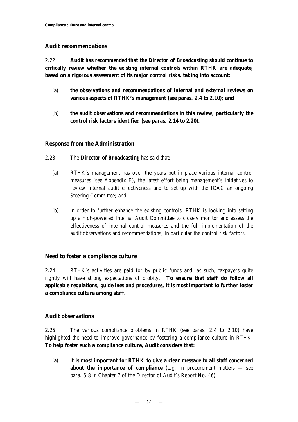## **Audit recommendations**

2.22 **Audit has** *recommended* **that the Director of Broadcasting should continue to critically review whether the existing internal controls within RTHK are adequate, based on a rigorous assessment of its major control risks, taking into account:**

- (a) **the observations and recommendations of internal and external reviews on various aspects of RTHK's management (see paras. 2.4 to 2.10); and**
- (b) **the audit observations and recommendations in this review, particularly the control risk factors identified (see paras. 2.14 to 2.20).**

## **Response from the Administration**

- 2.23 The **Director of Broadcasting** has said that:
	- (a) RTHK's management has over the years put in place various internal control measures (see Appendix E), the latest effort being management's initiatives to review internal audit effectiveness and to set up with the ICAC an ongoing Steering Committee; and
	- (b) in order to further enhance the existing controls, RTHK is looking into setting up a high-powered Internal Audit Committee to closely monitor and assess the effectiveness of internal control measures and the full implementation of the audit observations and recommendations, in particular the control risk factors.

## **Need to foster a compliance culture**

2.24 RTHK's activities are paid for by public funds and, as such, taxpayers quite rightly will have strong expectations of probity. **To ensure that staff do follow all applicable regulations, guidelines and procedures, it is most important to further foster a compliance culture among staff.**

## **Audit observations**

2.25 The various compliance problems in RTHK (see paras. 2.4 to 2.10) have highlighted the need to improve governance by fostering a compliance culture in RTHK. **To help foster such a compliance culture, Audit considers that:**

(a) **it is most important for RTHK to give a clear message to all staff concerned about the importance of compliance** (e.g. in procurement matters – see para. 5.8 in Chapter 7 of the Director of Audit's Report No. 46);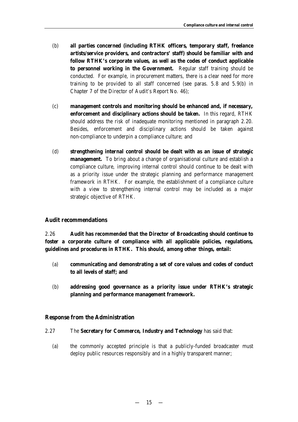- (b) **all parties concerned (including RTHK officers, temporary staff, freelance artists/service providers, and contractors' staff) should be familiar with and follow RTHK's corporate values, as well as the codes of conduct applicable to personnel working in the Government.** Regular staff training should be conducted. For example, in procurement matters, there is a clear need for more training to be provided to all staff concerned (see paras. 5.8 and 5.9(b) in Chapter 7 of the Director of Audit's Report No. 46);
- (c) **management controls and monitoring should be enhanced and, if necessary, enforcement and disciplinary actions should be taken.** In this regard, RTHK should address the risk of inadequate monitoring mentioned in paragraph 2.20. Besides, enforcement and disciplinary actions should be taken against non-compliance to underpin a compliance culture; and
- (d) **strengthening internal control should be dealt with as an issue of strategic management.** To bring about a change of organisational culture and establish a compliance culture, improving internal control should continue to be dealt with as a priority issue under the strategic planning and performance management framework in RTHK. For example, the establishment of a compliance culture with a view to strengthening internal control may be included as a major strategic objective of RTHK.

## **Audit recommendations**

2.26 **Audit has** *recommended* **that the Director of Broadcasting should continue to foster a corporate culture of compliance with all applicable policies, regulations, guidelines and procedures in RTHK. This should, among other things, entail:**

- (a) **communicating and demonstrating a set of core values and codes of conduct to all levels of staff; and**
- (b) **addressing good governance as a priority issue under RTHK's strategic planning and performance management framework.**

#### **Response from the Administration**

- 2.27 The **Secretary for Commerce, Industry and Technology** has said that:
	- (a) the commonly accepted principle is that a publicly-funded broadcaster must deploy public resources responsibly and in a highly transparent manner;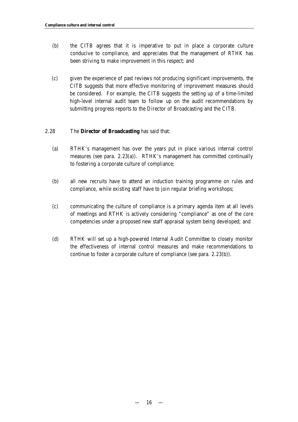- (b) the CITB agrees that it is imperative to put in place a corporate culture conducive to compliance, and appreciates that the management of RTHK has been striving to make improvement in this respect; and
- (c) given the experience of past reviews not producing significant improvements, the CITB suggests that more effective monitoring of improvement measures should be considered. For example, the CITB suggests the setting up of a time-limited high-level internal audit team to follow up on the audit recommendations by submitting progress reports to the Director of Broadcasting and the CITB.

#### 2.28 The **Director of Broadcasting** has said that:

- (a) RTHK's management has over the years put in place various internal control measures (see para. 2.23(a)). RTHK's management has committed continually to fostering a corporate culture of compliance;
- (b) all new recruits have to attend an induction training programme on rules and compliance, while existing staff have to join regular briefing workshops;
- (c) communicating the culture of compliance is a primary agenda item at all levels of meetings and RTHK is actively considering "compliance" as one of the core competencies under a proposed new staff appraisal system being developed; and
- (d) RTHK will set up a high-powered Internal Audit Committee to closely monitor the effectiveness of internal control measures and make recommendations to continue to foster a corporate culture of compliance (see para. 2.23(b)).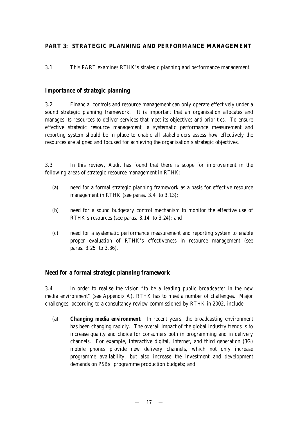## **PART 3: STRATEGIC PLANNING AND PERFORMANCE MANAGEMENT**

3.1 This PART examines RTHK's strategic planning and performance management.

## **Importance of strategic planning**

3.2 Financial controls and resource management can only operate effectively under a sound strategic planning framework. It is important that an organisation allocates and manages its resources to deliver services that meet its objectives and priorities. To ensure effective strategic resource management, a systematic performance measurement and reporting system should be in place to enable all stakeholders assess how effectively the resources are aligned and focused for achieving the organisation's strategic objectives.

3.3 In this review, Audit has found that there is scope for improvement in the following areas of strategic resource management in RTHK:

- (a) need for a formal strategic planning framework as a basis for effective resource management in RTHK (see paras. 3.4 to 3.13);
- (b) need for a sound budgetary control mechanism to monitor the effective use of RTHK's resources (see paras. 3.14 to 3.24); and
- (c) need for a systematic performance measurement and reporting system to enable proper evaluation of RTHK's effectiveness in resource management (see paras. 3.25 to 3.36).

## **Need for a formal strategic planning framework**

3.4 In order to realise the vision *"to be a leading public broadcaster in the new media environment"* (see Appendix A), RTHK has to meet a number of challenges. Major challenges, according to a consultancy review commissioned by RTHK in 2002, include:

(a) *Changing media environment.* In recent years, the broadcasting environment has been changing rapidly. The overall impact of the global industry trends is to increase quality and choice for consumers both in programming and in delivery channels. For example, interactive digital, Internet, and third generation (3G) mobile phones provide new delivery channels, which not only increase programme availability, but also increase the investment and development demands on PSBs' programme production budgets; and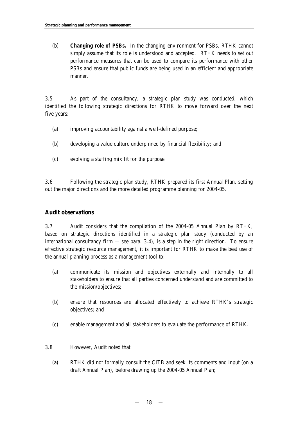(b) *Changing role of PSBs.* In the changing environment for PSBs, RTHK cannot simply assume that its role is understood and accepted. RTHK needs to set out performance measures that can be used to compare its performance with other PSBs and ensure that public funds are being used in an efficient and appropriate manner.

3.5 As part of the consultancy, a strategic plan study was conducted, which identified the following strategic directions for RTHK to move forward over the next five years:

- (a) improving accountability against a well-defined purpose;
- (b) developing a value culture underpinned by financial flexibility; and
- (c) evolving a staffing mix fit for the purpose.

3.6 Following the strategic plan study, RTHK prepared its first Annual Plan, setting out the major directions and the more detailed programme planning for 2004-05.

## **Audit observations**

3.7 Audit considers that the compilation of the 2004-05 Annual Plan by RTHK, based on strategic directions identified in a strategic plan study (conducted by an international consultancy firm — see para. 3.4), is a step in the right direction. To ensure effective strategic resource management, it is important for RTHK to make the best use of the annual planning process as a management tool to:

- (a) communicate its mission and objectives externally and internally to all stakeholders to ensure that all parties concerned understand and are committed to the mission/objectives;
- (b) ensure that resources are allocated effectively to achieve RTHK's strategic objectives; and
- (c) enable management and all stakeholders to evaluate the performance of RTHK.
- 3.8 However, Audit noted that:
	- (a) RTHK did not formally consult the CITB and seek its comments and input (on a draft Annual Plan), before drawing up the 2004-05 Annual Plan;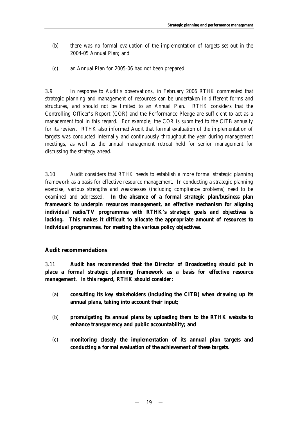- (b) there was no formal evaluation of the implementation of targets set out in the 2004-05 Annual Plan; and
- (c) an Annual Plan for 2005-06 had not been prepared.

3.9 In response to Audit's observations, in February 2006 RTHK commented that strategic planning and management of resources can be undertaken in different forms and structures, and should not be limited to an Annual Plan. RTHK considers that the Controlling Officer's Report (COR) and the Performance Pledge are sufficient to act as a management tool in this regard. For example, the COR is submitted to the CITB annually for its review. RTHK also informed Audit that formal evaluation of the implementation of targets was conducted internally and continuously throughout the year during management meetings, as well as the annual management retreat held for senior management for discussing the strategy ahead.

3.10 Audit considers that RTHK needs to establish a more formal strategic planning framework as a basis for effective resource management. In conducting a strategic planning exercise, various strengths and weaknesses (including compliance problems) need to be examined and addressed. **In the absence of a formal strategic plan/business plan framework to underpin resources management, an effective mechanism for aligning individual radio/TV programmes with RTHK's strategic goals and objectives is lacking. This makes it difficult to allocate the appropriate amount of resources to individual programmes, for meeting the various policy objectives.** 

## **Audit recommendations**

3.11 **Audit has** *recommended* **that the Director of Broadcasting should put in place a formal strategic planning framework as a basis for effective resource management. In this regard, RTHK should consider:**

- (a) **consulting its key stakeholders (including the CITB) when drawing up its annual plans, taking into account their input;**
- (b) **promulgating its annual plans by uploading them to the RTHK website to enhance transparency and public accountability; and**
- (c) **monitoring closely the implementation of its annual plan targets and conducting a formal evaluation of the achievement of these targets.**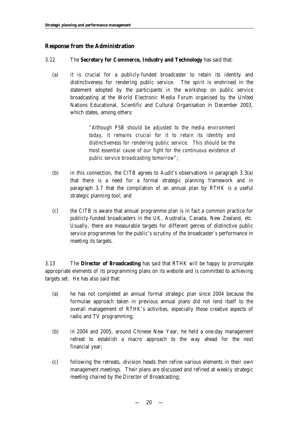## **Response from the Administration**

#### 3.12 The **Secretary for Commerce, Industry and Technology** has said that:

(a) it is crucial for a publicly-funded broadcaster to retain its identity and distinctiveness for rendering public service. The spirit is enshrined in the statement adopted by the participants in the workshop on public service broadcasting at the World Electronic Media Forum organised by the United Nations Educational, Scientific and Cultural Organisation in December 2003, which states, among others:

> *"Although PSB should be adjusted to the media environment today, it remains crucial for it to retain its identity and distinctiveness for rendering public service. This should be the most essential cause of our fight for the continuous existence of public service broadcasting tomorrow"*;

- (b) in this connection, the CITB agrees to Audit's observations in paragraph 3.3(a) that there is a need for a formal strategic planning framework and in paragraph 3.7 that the compilation of an annual plan by RTHK is a useful strategic planning tool; and
- (c) the CITB is aware that annual programme plan is in fact a common practice for publicly-funded broadcasters in the UK, Australia, Canada, New Zealand, etc. Usually, there are measurable targets for different genres of distinctive public service programmes for the public's scrutiny of the broadcaster's performance in meeting its targets.

3.13 The **Director of Broadcasting** has said that RTHK will be happy to promulgate appropriate elements of its programming plans on its website and is committed to achieving targets set. He has also said that:

- (a) he has not completed an annual formal strategic plan since 2004 because the formulae approach taken in previous annual plans did not lend itself to the overall management of RTHK's activities, especially those creative aspects of radio and TV programming;
- (b) in 2004 and 2005, around Chinese New Year, he held a one-day management retreat to establish a macro approach to the way ahead for the next financial year;
- (c) following the retreats, division heads then refine various elements in their own management meetings. Their plans are discussed and refined at weekly strategic meeting chaired by the Director of Broadcasting;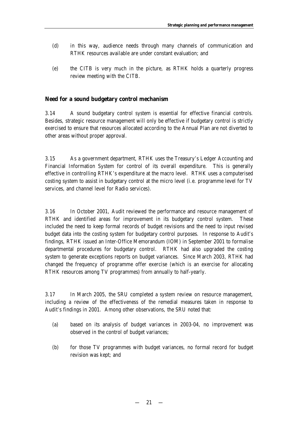- (d) in this way, audience needs through many channels of communication and RTHK resources available are under constant evaluation; and
- (e) the CITB is very much in the picture, as RTHK holds a quarterly progress review meeting with the CITB.

## **Need for a sound budgetary control mechanism**

3.14 A sound budgetary control system is essential for effective financial controls. Besides, strategic resource management will only be effective if budgetary control is strictly exercised to ensure that resources allocated according to the Annual Plan are not diverted to other areas without proper approval.

3.15 As a government department, RTHK uses the Treasury's Ledger Accounting and Financial Information System for control of its overall expenditure. This is generally effective in controlling RTHK's expenditure at the macro level. RTHK uses a computerised costing system to assist in budgetary control at the micro level (i.e. programme level for TV services, and channel level for Radio services).

3.16 In October 2001, Audit reviewed the performance and resource management of RTHK and identified areas for improvement in its budgetary control system. These included the need to keep formal records of budget revisions and the need to input revised budget data into the costing system for budgetary control purposes. In response to Audit's findings, RTHK issued an Inter-Office Memorandum (IOM) in September 2001 to formalise departmental procedures for budgetary control. RTHK had also upgraded the costing system to generate exceptions reports on budget variances. Since March 2003, RTHK had changed the frequency of programme offer exercise (which is an exercise for allocating RTHK resources among TV programmes) from annually to half-yearly.

3.17 In March 2005, the SRU completed a system review on resource management, including a review of the effectiveness of the remedial measures taken in response to Audit's findings in 2001. Among other observations, the SRU noted that:

- (a) based on its analysis of budget variances in 2003-04, no improvement was observed in the control of budget variances;
- (b) for those TV programmes with budget variances, no formal record for budget revision was kept; and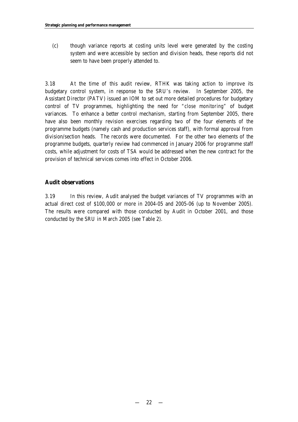(c) though variance reports at costing units level were generated by the costing system and were accessible by section and division heads, these reports did not seem to have been properly attended to.

3.18 At the time of this audit review, RTHK was taking action to improve its budgetary control system, in response to the SRU's review. In September 2005, the Assistant Director (PATV) issued an IOM to set out more detailed procedures for budgetary control of TV programmes, highlighting the need for *"close monitoring"* of budget variances. To enhance a better control mechanism, starting from September 2005, there have also been monthly revision exercises regarding two of the four elements of the programme budgets (namely cash and production services staff), with formal approval from division/section heads. The records were documented. For the other two elements of the programme budgets, quarterly review had commenced in January 2006 for programme staff costs, while adjustment for costs of TSA would be addressed when the new contract for the provision of technical services comes into effect in October 2006.

## **Audit observations**

3.19 In this review, Audit analysed the budget variances of TV programmes with an actual direct cost of \$100,000 or more in 2004-05 and 2005-06 (up to November 2005). The results were compared with those conducted by Audit in October 2001, and those conducted by the SRU in March 2005 (see Table 2).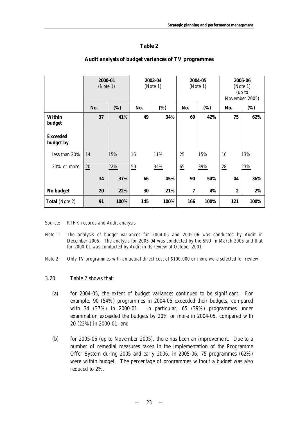## **Table 2**

|                              | 2000-01 | (Note 1) |     | 2003-04<br>(Note 1) |     | 2004-05<br>(Note 1) |                  | 2005-06<br>(Note 1)<br>(up to<br>November 2005) |
|------------------------------|---------|----------|-----|---------------------|-----|---------------------|------------------|-------------------------------------------------|
|                              | No.     | (%)      | No. | (%)                 | No. | (%)                 | No.              | (%)                                             |
| Within<br>budget             | 37      | 41%      | 49  | 34%                 | 69  | 42%                 | 75               | 62%                                             |
| <b>Exceeded</b><br>budget by |         |          |     |                     |     |                     |                  |                                                 |
| less than 20%                | 14      | 15%      | 16  | 11%                 | 25  | 15%                 | 16               | 13%                                             |
| 20% or more                  | $20\,$  | 22%      | 50  | 34%                 | 65  | 39%                 | $\frac{28}{5}$   | 23%                                             |
|                              | 34      | 37%      | 66  | 45%                 | 90  | 54%                 | 44               | 36%                                             |
| No budget                    | 20      | 22%      | 30  | 21%                 | 7   | 4%                  | $\boldsymbol{2}$ | 2%                                              |
| <b>Total</b> (Note 2)        | 91      | 100%     | 145 | 100%                | 166 | 100%                | 121              | 100%                                            |

#### **Audit analysis of budget variances of TV programmes**

*Source: RTHK records and Audit analysis*

- *Note 1: The analysis of budget variances for 2004-05 and 2005-06 was conducted by Audit in December 2005. The analysis for 2003-04 was conducted by the SRU in March 2005 and that for 2000-01 was conducted by Audit in its review of October 2001.*
- *Note 2: Only TV programmes with an actual direct cost of \$100,000 or more were selected for review.*
- 3.20 Table 2 shows that:
	- (a) for 2004-05, the extent of budget variances continued to be significant. For example, 90 (54%) programmes in 2004-05 exceeded their budgets, compared with 34 (37%) in 2000-01. In particular, 65 (39%) programmes under examination exceeded the budgets by 20% or more in 2004-05, compared with 20 (22%) in 2000-01; and
	- (b) for 2005-06 (up to November 2005), there has been an improvement. Due to a number of remedial measures taken in the implementation of the Programme Offer System during 2005 and early 2006, in 2005-06, 75 programmes (62%) were within budget. The percentage of programmes without a budget was also reduced to 2%.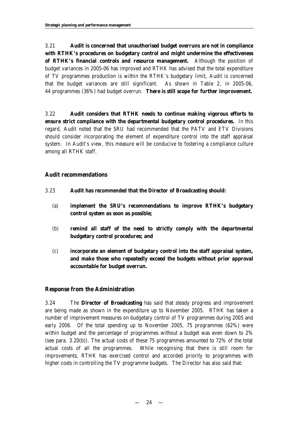3.21 **Audit is concerned that unauthorised budget overruns are not in compliance with RTHK's procedures on budgetary control and might undermine the effectiveness of RTHK's financial controls and resource management.** Although the position of budget variances in 2005-06 has improved and RTHK has advised that the total expenditure of TV programmes production is within the RTHK's budgetary limit, Audit is concerned that the budget variances are still significant. As shown in Table 2, in 2005-06, 44 programmes (36%) had budget overrun. **There is still scope for further improvement.** 

3.22 **Audit considers that RTHK needs to continue making vigorous efforts to ensure strict compliance with the departmental budgetary control procedures.** In this regard, Audit noted that the SRU had recommended that the PATV and ETV Divisions should consider incorporating the element of expenditure control into the staff appraisal system. In Audit's view, this measure will be conducive to fostering a compliance culture among all RTHK staff.

## **Audit recommendations**

- 3.23 **Audit has** *recommended* **that the Director of Broadcasting should:**
	- (a) **implement the SRU's recommendations to improve RTHK's budgetary control system as soon as possible;**
	- (b) **remind all staff of the need to strictly comply with the departmental budgetary control procedures; and**
	- (c) **incorporate an element of budgetary control into the staff appraisal system, and make those who repeatedly exceed the budgets without prior approval accountable for budget overrun.**

## **Response from the Administration**

3.24 The **Director of Broadcasting** has said that steady progress and improvement are being made as shown in the expenditure up to November 2005. RTHK has taken a number of improvement measures on budgetary control of TV programmes during 2005 and early 2006. Of the total spending up to November 2005, 75 programmes (62%) were within budget and the percentage of programmes without a budget was even down to 2% (see para. 3.20(b)). The actual costs of these 75 programmes amounted to 72% of the total actual costs of all the programmes. While recognising that there is still room for improvements, RTHK has exercised control and accorded priority to programmes with higher costs in controlling the TV programme budgets. The Director has also said that: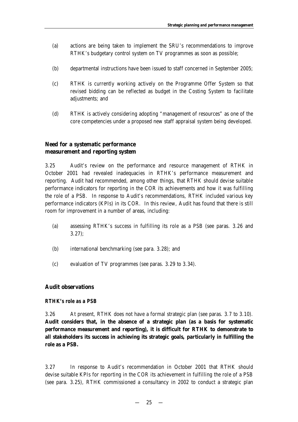- (a) actions are being taken to implement the SRU's recommendations to improve RTHK's budgetary control system on TV programmes as soon as possible;
- (b) departmental instructions have been issued to staff concerned in September 2005;
- (c) RTHK is currently working actively on the Programme Offer System so that revised bidding can be reflected as budget in the Costing System to facilitate adjustments; and
- (d) RTHK is actively considering adopting "management of resources" as one of the core competencies under a proposed new staff appraisal system being developed.

## **Need for a systematic performance measurement and reporting system**

3.25 Audit's review on the performance and resource management of RTHK in October 2001 had revealed inadequacies in RTHK's performance measurement and reporting. Audit had recommended, among other things, that RTHK should devise suitable performance indicators for reporting in the COR its achievements and how it was fulfilling the role of a PSB. In response to Audit's recommendations, RTHK included various key performance indicators (KPIs) in its COR. In this review, Audit has found that there is still room for improvement in a number of areas, including:

- (a) assessing RTHK's success in fulfilling its role as a PSB (see paras. 3.26 and 3.27);
- (b) international benchmarking (see para. 3.28); and
- (c) evaluation of TV programmes (see paras. 3.29 to 3.34).

#### **Audit observations**

#### *RTHK's role as a PSB*

3.26 At present, RTHK does not have a formal strategic plan (see paras. 3.7 to 3.10). **Audit considers that, in the absence of a strategic plan (as a basis for systematic performance measurement and reporting), it is difficult for RTHK to demonstrate to all stakeholders its success in achieving its strategic goals, particularly in fulfilling the role as a PSB.**

3.27 In response to Audit's recommendation in October 2001 that RTHK should devise suitable KPIs for reporting in the COR its achievement in fulfilling the role of a PSB (see para. 3.25), RTHK commissioned a consultancy in 2002 to conduct a strategic plan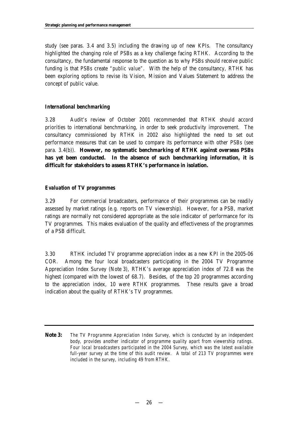study (see paras. 3.4 and 3.5) including the drawing up of new KPIs. The consultancy highlighted the changing role of PSBs as a key challenge facing RTHK. According to the consultancy, the fundamental response to the question as to why PSBs should receive public funding is that PSBs create *"public value"*. With the help of the consultancy, RTHK has been exploring options to revise its Vision, Mission and Values Statement to address the concept of public value.

## *International benchmarking*

3.28 Audit's review of October 2001 recommended that RTHK should accord priorities to international benchmarking, in order to seek productivity improvement. The consultancy commissioned by RTHK in 2002 also highlighted the need to set out performance measures that can be used to compare its performance with other PSBs (see para. 3.4(b)). **However, no systematic benchmarking of RTHK against overseas PSBs has yet been conducted. In the absence of such benchmarking information, it is difficult for stakeholders to assess RTHK's performance in isolation.**

## *Evaluation of TV programmes*

3.29 For commercial broadcasters, performance of their programmes can be readily assessed by market ratings (e.g. reports on TV viewership). However, for a PSB, market ratings are normally not considered appropriate as the sole indicator of performance for its TV programmes. This makes evaluation of the quality and effectiveness of the programmes of a PSB difficult.

3.30 RTHK included TV programme appreciation index as a new KPI in the 2005-06 COR. Among the four local broadcasters participating in the 2004 TV Programme Appreciation Index Survey (Note 3), RTHK's average appreciation index of 72.8 was the highest (compared with the lowest of 68.7). Besides, of the top 20 programmes according to the appreciation index, 10 were RTHK programmes. These results gave a broad indication about the quality of RTHK's TV programmes.

**Note 3:** *The TV Programme Appreciation Index Survey, which is conducted by an independent body, provides another indicator of programme quality apart from viewership ratings. Four local broadcasters participated in the 2004 Survey, which was the latest available full-year survey at the time of this audit review. A total of 213 TV programmes were included in the survey, including 49 from RTHK.*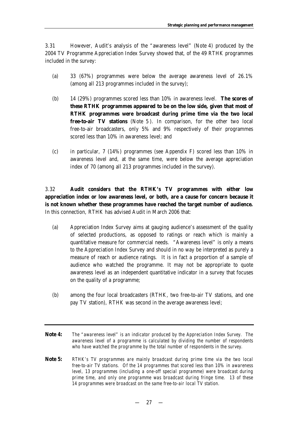3.31 However, Audit's analysis of the "awareness level" (Note 4) produced by the 2004 TV Programme Appreciation Index Survey showed that, of the 49 RTHK programmes included in the survey:

- (a) 33 (67%) programmes were below the average awareness level of 26.1% (among all 213 programmes included in the survey);
- (b) 14 (29%) programmes scored less than 10% in awareness level. **The scores of these RTHK programmes appeared to be on the low side, given that most of RTHK programmes were broadcast during prime time via the two local free-to-air TV stations** (Note 5). In comparison, for the other two local free-to-air broadcasters, only 5% and 9% respectively of their programmes scored less than 10% in awareness level; and
- (c) in particular, 7 (14%) programmes (see Appendix F) scored less than 10% in awareness level and, at the same time, were below the average appreciation index of 70 (among all 213 programmes included in the survey).

3.32 **Audit considers that the RTHK's TV programmes with either low appreciation index or low awareness level, or both, are a cause for concern because it is not known whether these programmes have reached the target number of audience.** In this connection, RTHK has advised Audit in March 2006 that:

- (a) Appreciation Index Survey aims at gauging audience's assessment of the quality of selected productions, as opposed to ratings or reach which is mainly a quantitative measure for commercial needs. "Awareness level" is only a means to the Appreciation Index Survey and should in no way be interpreted as purely a measure of reach or audience ratings. It is in fact a proportion of a sample of audience who watched the programme. It may not be appropriate to quote awareness level as an independent quantitative indicator in a survey that focuses on the quality of a programme;
- (b) among the four local broadcasters (RTHK, two free-to-air TV stations, and one pay TV station), RTHK was second in the average awareness level;
- **Note 4:** *The "awareness level" is an indicator produced by the Appreciation Index Survey. The awareness level of a programme is calculated by dividing the number of respondents who have watched the programme by the total number of respondents in the survey.*
- **Note 5:** *RTHK's TV programmes are mainly broadcast during prime time via the two local free-to-air TV stations. Of the 14 programmes that scored less than 10% in awareness level, 13 programmes (including a one-off special programme) were broadcast during prime time, and only one programme was broadcast during fringe time. 13 of these 14 programmes were broadcast on the same free-to-air local TV station.*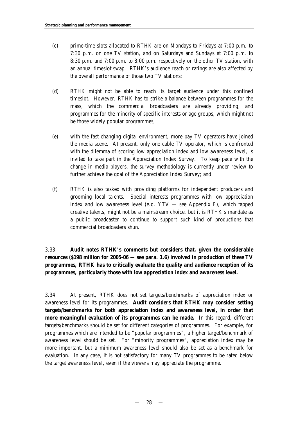- (c) prime-time slots allocated to RTHK are on Mondays to Fridays at 7:00 p.m. to 7:30 p.m. on one TV station, and on Saturdays and Sundays at 7:00 p.m. to 8:30 p.m. and 7:00 p.m. to 8:00 p.m. respectively on the other TV station, with an annual timeslot swap. RTHK's audience reach or ratings are also affected by the overall performance of those two TV stations;
- (d) RTHK might not be able to reach its target audience under this confined timeslot. However, RTHK has to strike a balance between programmes for the mass, which the commercial broadcasters are already providing, and programmes for the minority of specific interests or age groups, which might not be those widely popular programmes;
- (e) with the fast changing digital environment, more pay TV operators have joined the media scene. At present, only one cable TV operator, which is confronted with the dilemma of scoring low appreciation index and low awareness level, is invited to take part in the Appreciation Index Survey. To keep pace with the change in media players, the survey methodology is currently under review to further achieve the goal of the Appreciation Index Survey; and
- (f) RTHK is also tasked with providing platforms for independent producers and grooming local talents. Special interests programmes with low appreciation index and low awareness level (e.g. YTV — see Appendix F), which tapped creative talents, might not be a mainstream choice, but it is RTHK's mandate as a public broadcaster to continue to support such kind of productions that commercial broadcasters shun.

3.33 **Audit notes RTHK's comments but considers that, given the considerable resources (\$198 million for 2005-06 — see para. 1.6) involved in production of these TV programmes, RTHK has to critically evaluate the quality and audience reception of its programmes, particularly those with low appreciation index and awareness level.**

3.34 At present, RTHK does not set targets/benchmarks of appreciation index or awareness level for its programmes. **Audit considers that RTHK may consider setting targets/benchmarks for both appreciation index and awareness level, in order that more meaningful evaluation of its programmes can be made.** In this regard, different targets/benchmarks should be set for different categories of programmes. For example, for programmes which are intended to be "popular programmes", a higher target/benchmark of awareness level should be set. For "minority programmes", appreciation index may be more important, but a minimum awareness level should also be set as a benchmark for evaluation. In any case, it is not satisfactory for many TV programmes to be rated below the target awareness level, even if the viewers may appreciate the programme.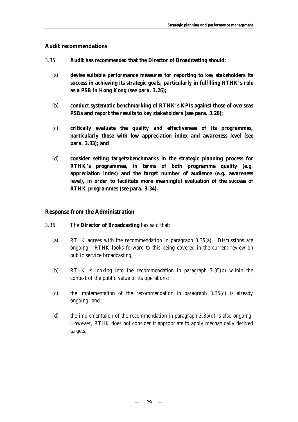## **Audit recommendations**

- 3.35 **Audit has** *recommended* **that the Director of Broadcasting should:**
	- (a) **devise suitable performance measures for reporting to key stakeholders its success in achieving its strategic goals, particularly in fulfilling RTHK's role as a PSB in Hong Kong (see para. 3.26);**
	- (b) **conduct systematic benchmarking of RTHK's KPIs against those of overseas PSBs and report the results to key stakeholders (see para. 3.28);**
	- (c) **critically evaluate the quality and effectiveness of its programmes, particularly those with low appreciation index and awareness level (see para. 3.33); and**
	- (d) **consider setting targets/benchmarks in the strategic planning process for RTHK's programmes, in terms of both programme quality (e.g. appreciation index) and the target number of audience (e.g. awareness level), in order to facilitate more meaningful evaluation of the success of RTHK programmes (see para. 3.34).**

#### **Response from the Administration**

- 3.36 The **Director of Broadcasting** has said that:
	- (a) RTHK agrees with the recommendation in paragraph 3.35(a). Discussions are ongoing. RTHK looks forward to this being covered in the current review on public service broadcasting;
	- (b) RTHK is looking into the recommendation in paragraph 3.35(b) within the context of the public value of its operations;
	- (c) the implementation of the recommendation in paragraph 3.35(c) is already ongoing; and
	- (d) the implementation of the recommendation in paragraph 3.35(d) is also ongoing. However, RTHK does not consider it appropriate to apply mechanically derived targets.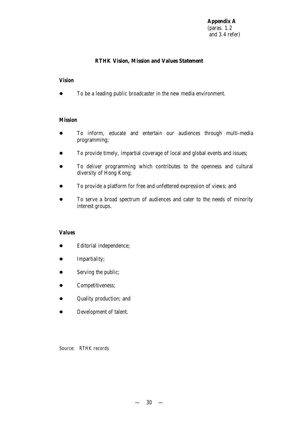**Appendix A** (paras. 1.2 and 3.4 refer)

## **RTHK Vision, Mission and Values Statement**

#### *Vision*

• To be a leading public broadcaster in the new media environment.

#### *Mission*

- **•** To inform, educate and entertain our audiences through multi-media programming;
- To provide timely, impartial coverage of local and global events and issues;
- To deliver programming which contributes to the openness and cultural diversity of Hong Kong;
- To provide a platform for free and unfettered expression of views; and
- To serve a broad spectrum of audiences and cater to the needs of minority interest groups.

## *Values*

- $\bullet$  Editorial independence;
- **•** Impartiality;
- Serving the public;
- **•** Competitiveness;
- Quality production; and
- Development of talent.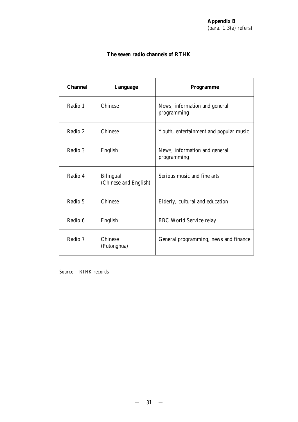## **The seven radio channels of RTHK**

| <b>Channel</b> | Language                                  | <b>Programme</b>                             |
|----------------|-------------------------------------------|----------------------------------------------|
| Radio 1        | Chinese                                   | News, information and general<br>programming |
| Radio 2        | Chinese                                   | Youth, entertainment and popular music       |
| Radio 3        | English                                   | News, information and general<br>programming |
| Radio 4        | <b>Bilingual</b><br>(Chinese and English) | Serious music and fine arts                  |
| Radio 5        | Chinese                                   | Elderly, cultural and education              |
| Radio 6        | English                                   | <b>BBC</b> World Service relay               |
| Radio 7        | Chinese<br>(Putonghua)                    | General programming, news and finance        |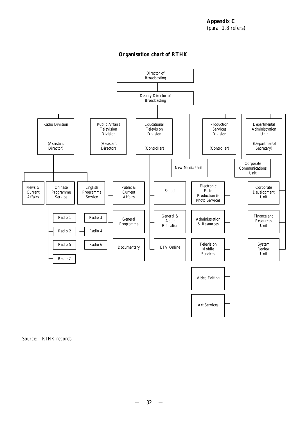## **Organisation chart of RTHK**

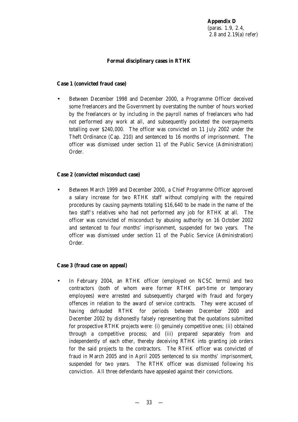## **Formal disciplinary cases in RTHK**

## **Case 1 (convicted fraud case)**

• Between December 1998 and December 2000, a Programme Officer deceived some freelancers and the Government by overstating the number of hours worked by the freelancers or by including in the payroll names of freelancers who had not performed any work at all, and subsequently pocketed the overpayments totalling over \$240,000. The officer was convicted on 11 July 2002 under the Theft Ordinance (Cap. 210) and sentenced to 16 months of imprisonment. The officer was dismissed under section 11 of the Public Service (Administration) Order.

## **Case 2 (convicted misconduct case)**

• Between March 1999 and December 2000, a Chief Programme Officer approved a salary increase for two RTHK staff without complying with the required procedures by causing payments totalling \$16,640 to be made in the name of the two staff's relatives who had not performed any job for RTHK at all. The officer was convicted of misconduct by abusing authority on 16 October 2002 and sentenced to four months' imprisonment, suspended for two years. The officer was dismissed under section 11 of the Public Service (Administration) Order.

## **Case 3 (fraud case on appeal)**

• In February 2004, an RTHK officer (employed on NCSC terms) and two contractors (both of whom were former RTHK part-time or temporary employees) were arrested and subsequently charged with fraud and forgery offences in relation to the award of service contracts. They were accused of having defrauded RTHK for periods between December 2000 and December 2002 by dishonestly falsely representing that the quotations submitted for prospective RTHK projects were: (i) genuinely competitive ones; (ii) obtained through a competitive process; and (iii) prepared separately from and independently of each other, thereby deceiving RTHK into granting job orders for the said projects to the contractors. The RTHK officer was convicted of fraud in March 2005 and in April 2005 sentenced to six months' imprisonment, suspended for two years. The RTHK officer was dismissed following his conviction. All three defendants have appealed against their convictions.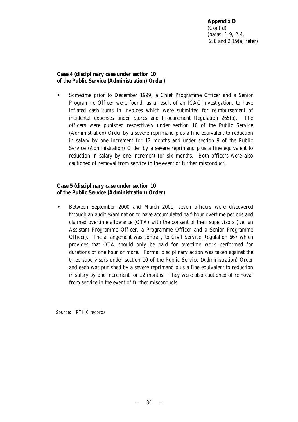## **Case 4 (disciplinary case under section 10 of the Public Service (Administration) Order)**

• Sometime prior to December 1999, a Chief Programme Officer and a Senior Programme Officer were found, as a result of an ICAC investigation, to have inflated cash sums in invoices which were submitted for reimbursement of incidental expenses under Stores and Procurement Regulation 265(a). The officers were punished respectively under section 10 of the Public Service (Administration) Order by a severe reprimand plus a fine equivalent to reduction in salary by one increment for 12 months and under section 9 of the Public Service (Administration) Order by a severe reprimand plus a fine equivalent to reduction in salary by one increment for six months. Both officers were also cautioned of removal from service in the event of further misconduct.

## **Case 5 (disciplinary case under section 10 of the Public Service (Administration) Order)**

• Between September 2000 and March 2001, seven officers were discovered through an audit examination to have accumulated half-hour overtime periods and claimed overtime allowance (OTA) with the consent of their supervisors (i.e. an Assistant Programme Officer, a Programme Officer and a Senior Programme Officer). The arrangement was contrary to Civil Service Regulation 667 which provides that OTA should only be paid for overtime work performed for durations of one hour or more. Formal disciplinary action was taken against the three supervisors under section 10 of the Public Service (Administration) Order and each was punished by a severe reprimand plus a fine equivalent to reduction in salary by one increment for 12 months. They were also cautioned of removal from service in the event of further misconducts.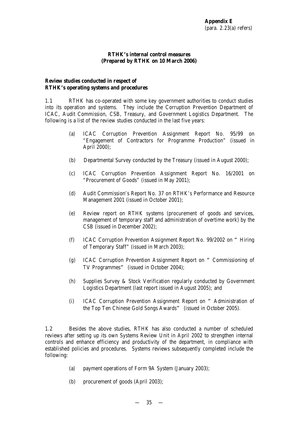## **RTHK's internal control measures (Prepared by RTHK on 10 March 2006)**

## **Review studies conducted in respect of RTHK's operating systems and procedures**

1.1 RTHK has co-operated with some key government authorities to conduct studies into its operation and systems. They include the Corruption Prevention Department of ICAC, Audit Commission, CSB, Treasury, and Government Logistics Department. The following is a list of the review studies conducted in the last five years:

- (a) ICAC Corruption Prevention Assignment Report No. 95/99 on "Engagement of Contractors for Programme Production" (issued in April 2000);
- (b) Departmental Survey conducted by the Treasury (issued in August 2000);
- (c) ICAC Corruption Prevention Assignment Report No. 16/2001 on "Procurement of Goods" (issued in May 2001);
- (d) Audit Commission's Report No. 37 on RTHK's Performance and Resource Management 2001 (issued in October 2001);
- (e) Review report on RTHK systems (procurement of goods and services, management of temporary staff and administration of overtime work) by the CSB (issued in December 2002);
- (f) ICAC Corruption Prevention Assignment Report No. 99/2002 on "Hiring of Temporary Staff" (issued in March 2003);
- (g) ICAC Corruption Prevention Assignment Report on "Commissioning of TV Programmes" (issued in October 2004);
- (h) Supplies Survey & Stock Verification regularly conducted by Government Logistics Department (last report issued in August 2005); and
- (i) ICAC Corruption Prevention Assignment Report on "Administration of the Top Ten Chinese Gold Songs Awards" (issued in October 2005).

1.2 Besides the above studies, RTHK has also conducted a number of scheduled reviews after setting up its own Systems Review Unit in April 2002 to strengthen internal controls and enhance efficiency and productivity of the department, in compliance with established policies and procedures. Systems reviews subsequently completed include the following:

- (a) payment operations of Form 9A System (January 2003);
- (b) procurement of goods (April 2003);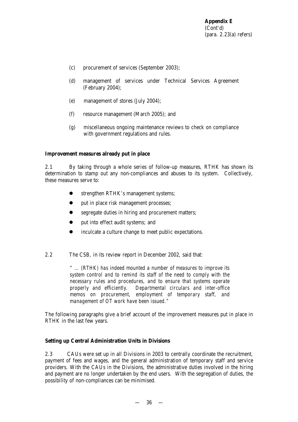- (c) procurement of services (September 2003);
- (d) management of services under Technical Services Agreement (February 2004);
- (e) management of stores (July 2004);
- (f) resource management (March 2005); and
- (g) miscellaneous ongoing maintenance reviews to check on compliance with government regulations and rules.

## **Improvement measures already put in place**

2.1 By taking through a whole series of follow-up measures, RTHK has shown its determination to stamp out any non-compliances and abuses to its system. Collectively, these measures serve to:

- **•** strengthen RTHK's management systems;
- put in place risk management processes;
- segregate duties in hiring and procurement matters;
- put into effect audit systems; and
- inculcate a culture change to meet public expectations.
- 2.2 The CSB, in its review report in December 2002, said that:

*" … (RTHK) has indeed mounted a number of measures to improve its system control and to remind its staff of the need to comply with the necessary rules and procedures, and to ensure that systems operate properly and efficiently. Departmental circulars and inter-office memos on procurement, employment of temporary staff, and management of OT work have been issued."*

The following paragraphs give a brief account of the improvement measures put in place in RTHK in the last few years.

#### **Setting up Central Administration Units in Divisions**

2.3 CAUs were set up in all Divisions in 2003 to centrally coordinate the recruitment, payment of fees and wages, and the general administration of temporary staff and service providers. With the CAUs in the Divisions, the administrative duties involved in the hiring and payment are no longer undertaken by the end users. With the segregation of duties, the possibility of non-compliances can be minimised.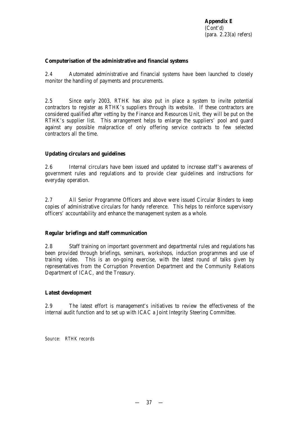## **Computerisation of the administrative and financial systems**

2.4 Automated administrative and financial systems have been launched to closely monitor the handling of payments and procurements.

2.5 Since early 2003, RTHK has also put in place a system to invite potential contractors to register as RTHK's suppliers through its website. If these contractors are considered qualified after vetting by the Finance and Resources Unit, they will be put on the RTHK's supplier list. This arrangement helps to enlarge the suppliers' pool and guard against any possible malpractice of only offering service contracts to few selected contractors all the time.

## **Updating circulars and guidelines**

2.6 Internal circulars have been issued and updated to increase staff's awareness of government rules and regulations and to provide clear guidelines and instructions for everyday operation.

2.7 All Senior Programme Officers and above were issued Circular Binders to keep copies of administrative circulars for handy reference. This helps to reinforce supervisory officers' accountability and enhance the management system as a whole.

#### **Regular briefings and staff communication**

2.8 Staff training on important government and departmental rules and regulations has been provided through briefings, seminars, workshops, induction programmes and use of training video. This is an on-going exercise, with the latest round of talks given by representatives from the Corruption Prevention Department and the Community Relations Department of ICAC, and the Treasury.

#### **Latest development**

2.9 The latest effort is management's initiatives to review the effectiveness of the internal audit function and to set up with ICAC a Joint Integrity Steering Committee.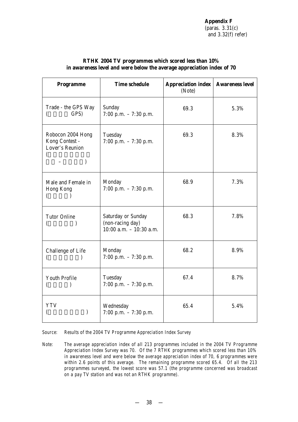| <b>Programme</b>                                                             | <b>Time schedule</b>                                                 | <b>Appreciation index</b><br>(Note) | <b>Awareness level</b> |
|------------------------------------------------------------------------------|----------------------------------------------------------------------|-------------------------------------|------------------------|
| Trade - the GPS Way<br>GPS)                                                  | Sunday<br>7:00 p.m. $-7:30$ p.m.                                     | 69.3                                | 5.3%                   |
| Robocon 2004 Hong<br>Kong Contest -<br>Lover's Reunion<br>(<br>$\mathcal{E}$ | Tuesday<br>7:00 p.m. $-7:30$ p.m.                                    | 69.3                                | 8.3%                   |
| Male and Female in<br>Hong Kong                                              | Monday<br>7:00 p.m. $-7:30$ p.m.                                     | 68.9                                | 7.3%                   |
| <b>Tutor Online</b>                                                          | Saturday or Sunday<br>(non-racing day)<br>$10:00$ a.m. $-10:30$ a.m. | 68.3                                | 7.8%                   |
| Challenge of Life                                                            | Monday<br>7:00 p.m. $-7:30$ p.m.                                     | 68.2                                | 8.9%                   |
| <b>Youth Profile</b>                                                         | Tuesday<br>7:00 p.m. $-7:30$ p.m.                                    | 67.4                                | 8.7%                   |
| <b>YTV</b>                                                                   | Wednesday<br>7:00 p.m. $-7:30$ p.m.                                  | 65.4                                | 5.4%                   |

## **RTHK 2004 TV programmes which scored less than 10% in awareness level and were below the average appreciation index of 70**

*Source: Results of the 2004 TV Programme Appreciation Index Survey*

*Note: The average appreciation index of all 213 programmes included in the 2004 TV Programme Appreciation Index Survey was 70. Of the 7 RTHK programmes which scored less than 10% in awareness level and were below the average appreciation index of 70, 6 programmes were within 2.6 points of this average. The remaining programme scored 65.4. Of all the 213 programmes surveyed, the lowest score was 57.1 (the programme concerned was broadcast on a pay TV station and was not an RTHK programme).*